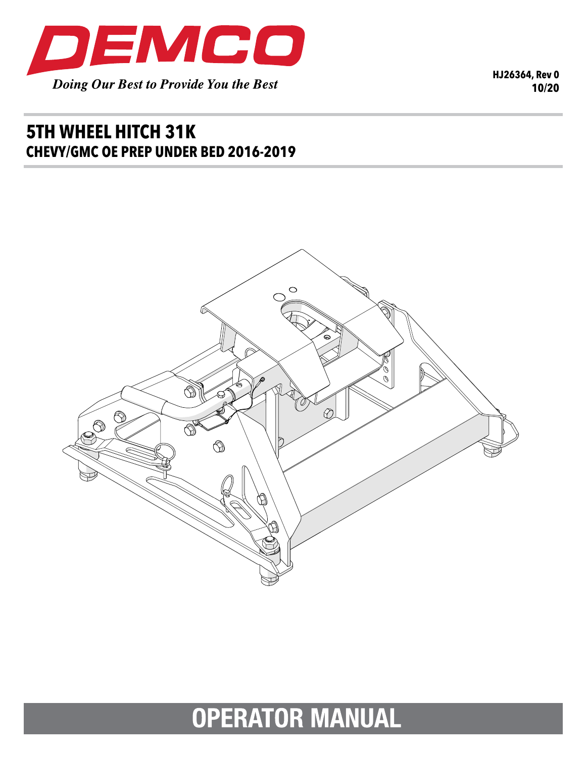

**HJ26364, Rev 0 10/20**

## **5TH WHEEL HITCH 31K CHEVY/GMC OE PREP UNDER BED 2016-2019**



# **OPERATOR MANUAL**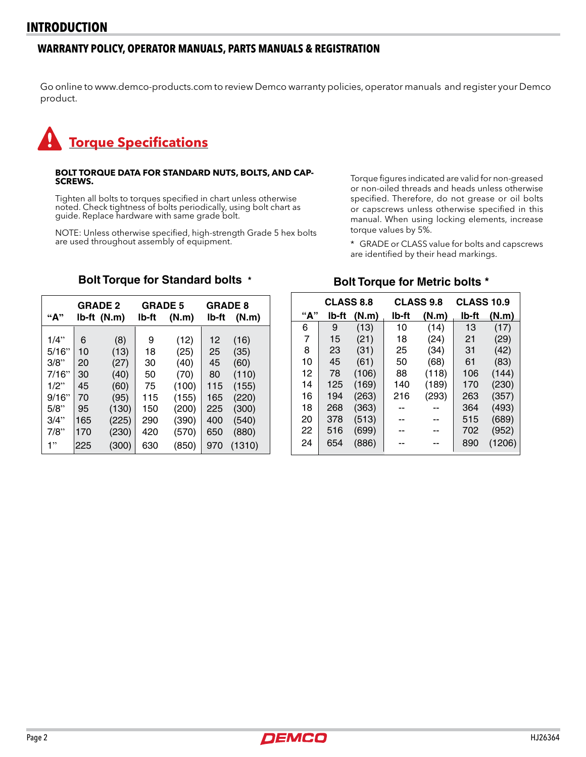#### **WARRANTY POLICY, OPERATOR MANUALS, PARTS MANUALS & REGISTRATION**

Go online to www.demco-products.com to review Demco warranty policies, operator manuals and register your Demco product.

# **Torque Specifications**

### **BOLT TORQUE DATA FOR STANDARD NUTS, BOLTS, AND CAP- SCREWS.**

Tighten all bolts to torques specified in chart unless otherwise noted. Check tightness of bolts periodically, using bolt chart as guide. Replace hardware with same grade bolt.

NOTE: Unless otherwise specified, high-strength Grade 5 hex bolts are used throughout assembly of equipment.

Torque figures indicated are valid for non-greased or non-oiled threads and heads unless otherwise specified. Therefore, do not grease or oil bolts or capscrews unless otherwise specified in this manual. When using locking elements, increase torque values by 5%.

\* GRADE or CLASS value for bolts and capscrews are identified by their head markings.

## **Bolt Torque for Standard bolts \***

|               | <b>GRADE 2</b><br>Ib-ft (N.m) |              | <b>GRADE 5</b> |                | <b>GRADE 8</b> |                |
|---------------|-------------------------------|--------------|----------------|----------------|----------------|----------------|
| "А"           |                               |              | lb-ft          | (N.m)          | lb-ft          | (N.m)          |
| 1/4"          | 6                             | (8)          | 9              | (12)           | 12             | (16)           |
| 5/16"         | 10                            | (13)         | 18             | (25)           | 25             | (35)           |
| 3/8"<br>7/16" | 20                            | (27)         | 30             | (40)           | 45<br>80       | (60)           |
| $1/2$ "       | 30<br>45                      | (40)         | 50<br>75       | (70)           | 115            | (110)<br>(155) |
| 9/16"         | 70                            | (60)<br>(95) | 115            | (100)<br>(155) | 165            | (220)          |
| 5/8"          | 95                            | (130)        | 150            | (200)          | 225            | (300)          |
| 3/4"          | 165                           | (225)        | 290            | (390)          | 400            | (540)          |
| 7/8"          | 170                           | (230)        | 420            | (570)          | 650            | (880)          |
| 1"            | 225                           | (300)        | 630            | (850)          | 970            | (1310)         |

#### **Bolt Torque for Metric bolts \***

| <b>CLASS 8.8</b> |       | <b>CLASS 9.8</b> |       | <b>CLASS 10.9</b> |       |        |
|------------------|-------|------------------|-------|-------------------|-------|--------|
| "А"              | lb-ft | (N.m)            | lb-ft | (N.m)             | lb-ft | (N.m)  |
| 6                | 9     | (13)             | 10    | (14)              | 13    | (17)   |
| 7                | 15    | (21)             | 18    | (24)              | 21    | (29)   |
| 8                | 23    | (31)             | 25    | (34)              | 31    | (42)   |
| 10               | 45    | (61)             | 50    | (68)              | 61    | (83)   |
| 12               | 78    | (106)            | 88    | (118)             | 106   | (144)  |
| 14               | 125   | (169)            | 140   | (189)             | 170   | (230)  |
| 16               | 194   | (263)            | 216   | (293)             | 263   | (357)  |
| 18               | 268   | (363)            |       |                   | 364   | (493)  |
| 20               | 378   | (513)            |       |                   | 515   | (689)  |
| 22               | 516   | (699)            |       |                   | 702   | (952)  |
| 24               | 654   | (886)            |       |                   | 890   | (1206) |

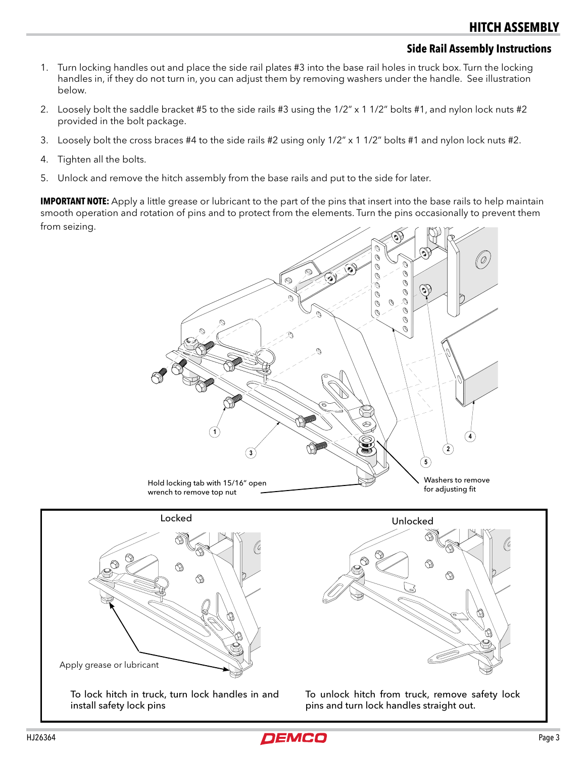#### **Side Rail Assembly Instructions**

- 1. Turn locking handles out and place the side rail plates #3 into the base rail holes in truck box. Turn the locking handles in, if they do not turn in, you can adjust them by removing washers under the handle. See illustration below.
- 2. Loosely bolt the saddle bracket #5 to the side rails #3 using the 1/2" x 1 1/2" bolts #1, and nylon lock nuts #2 provided in the bolt package.
- 3. Loosely bolt the cross braces #4 to the side rails #2 using only 1/2" x 1 1/2" bolts #1 and nylon lock nuts #2.
- 4. Tighten all the bolts.
- 5. Unlock and remove the hitch assembly from the base rails and put to the side for later.

**IMPORTANT NOTE:** Apply a little grease or lubricant to the part of the pins that insert into the base rails to help maintain smooth operation and rotation of pins and to protect from the elements. Turn the pins occasionally to prevent them from seizing.